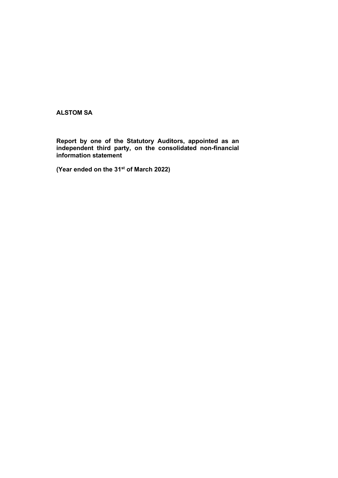ALSTOM SA

Report by one of the Statutory Auditors, appointed as an independent third party, on the consolidated non-financial information statement

(Year ended on the 31<sup>st</sup> of March 2022)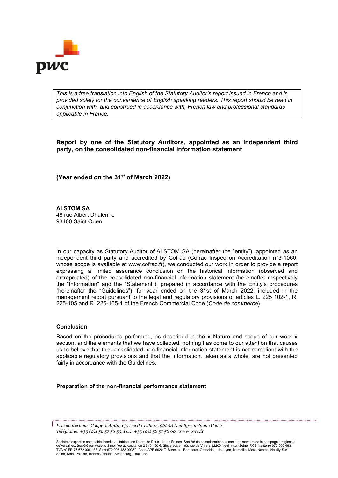

*This is a free translation into English of the Statutory Auditor's report issued in French and is provided solely for the convenience of English speaking readers. This report should be read in conjunction with, and construed in accordance with, French law and professional standards applicable in France.*

Report by one of the Statutory Auditors, appointed as an independent third party, on the consolidated non-financial information statement

(Year ended on the 31st of March 2022)

ALSTOM SA 48 rue Albert Dhalenne 93400 Saint Ouen

In our capacity as Statutory Auditor of ALSTOM SA (hereinafter the "entity"), appointed as an independent third party and accredited by Cofrac (Cofrac Inspection Accreditation n°3-1060, whose scope is available at www.cofrac.fr), we conducted our work in order to provide a report expressing a limited assurance conclusion on the historical information (observed and extrapolated) of the consolidated non-financial information statement (hereinafter respectively the "Information" and the "Statement"), prepared in accordance with the Entity's procedures (hereinafter the "Guidelines"), for year ended on the 31st of March 2022, included in the management report pursuant to the legal and regulatory provisions of articles L. 225 102-1, R. 225-105 and R. 225-105-1 of the French Commercial Code (*Code de commerce*).

### Conclusion

Based on the procedures performed, as described in the « Nature and scope of our work » section, and the elements that we have collected, nothing has come to our attention that causes us to believe that the consolidated non-financial information statement is not compliant with the applicable regulatory provisions and that the Information, taken as a whole, are not presented fairly in accordance with the Guidelines.

Preparation of the non-financial performance statement

*PricewaterhouseCoopers Audit, 63, rue de Villiers, 92208 Neuilly-sur-Seine Cedex Téléphone: +33 (0)1 56 57 58 59, Fax: +33 (0)1 56 57 58 60,* www.pwc.fr

Société d'expertise comptable inscrite au tableau de l'ordre de Paris - lle de France. Société de commissariat aux comptes membre de la compagnie régionale<br>deVersailles. Société par Actions Simplifiée au capital de 2 510 TVA n° FR 76 672 006 483. Siret 672 006 483 00362. Code APE 6920 Z. Bureaux : Bordeaux, Grenoble, Lille, Lyon, Marseille, Metz, Nantes, Neuilly-Sur-Seine, Nice, Poitiers, Rennes, Rouen, Strasbourg, Toulouse.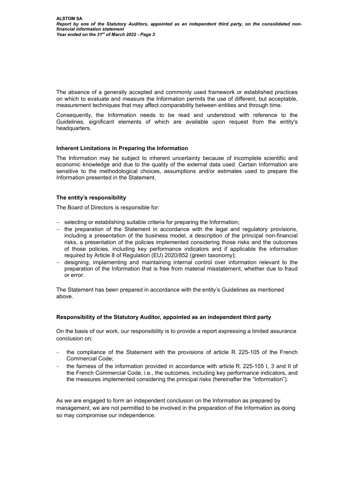The absence of a generally accepted and commonly used framework or established practices on which to evaluate and measure the Information permits the use of different, but acceptable, measurement techniques that may affect comparability between entities and through time.

Consequently, the Information needs to be read and understood with reference to the Guidelines, significant elements of which are available upon request from the entity's headquarters.

# Inherent Limitations in Preparing the Information

The Information may be subject to inherent uncertainty because of incomplete scientific and economic knowledge and due to the quality of the external data used. Certain Information are sensitive to the methodological choices, assumptions and/or estimates used to prepare the Information presented in the Statement.

# The entity's responsibility

The Board of Directors is responsible for:

- selecting or establishing suitable criteria for preparing the Information;
- $-$  the preparation of the Statement in accordance with the legal and regulatory provisions, including a presentation of the business model, a description of the principal non-financial risks, a presentation of the policies implemented considering those risks and the outcomes of those policies, including key performance indicators and if applicable the information required by Article 8 of Regulation (EU) 2020/852 (green taxonomy);
- designing, implementing and maintaining internal control over information relevant to the preparation of the Information that is free from material misstatement, whether due to fraud or error.

The Statement has been prepared in accordance with the entity's Guidelines as mentioned above.

### Responsibility of the Statutory Auditor, appointed as an independent third party

On the basis of our work, our responsibility is to provide a report expressing a limited assurance conclusion on:

- the compliance of the Statement with the provisions of article R. 225-105 of the French Commercial Code;
- the fairness of the information provided in accordance with article R. 225-105 I, 3 and II of the French Commercial Code, i.e., the outcomes, including key performance indicators, and the measures implemented considering the principal risks (hereinafter the "Information").

As we are engaged to form an independent conclusion on the Information as prepared by management, we are not permitted to be involved in the preparation of the Information as doing so may compromise our independence.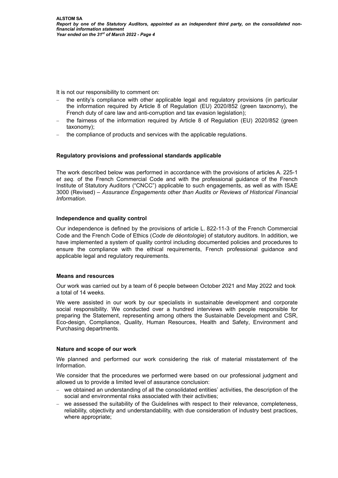It is not our responsibility to comment on:

- the entity's compliance with other applicable legal and regulatory provisions (in particular the information required by Article 8 of Regulation (EU) 2020/852 (green taxonomy), the French duty of care law and anti-corruption and tax evasion legislation);
- the fairness of the information required by Article 8 of Regulation (EU) 2020/852 (green taxonomy);
- the compliance of products and services with the applicable regulations.

# Regulatory provisions and professional standards applicable

The work described below was performed in accordance with the provisions of articles A. 225-1 *et seq.* of the French Commercial Code and with the professional guidance of the French Institute of Statutory Auditors ("CNCC") applicable to such engagements, as well as with ISAE 3000 (Revised) – *Assurance Engagements other than Audits or Reviews of Historical Financial Information*.

### Independence and quality control

Our independence is defined by the provisions of article L. 822-11-3 of the French Commercial Code and the French Code of Ethics (*Code de déontologie*) of statutory auditors. In addition, we have implemented a system of quality control including documented policies and procedures to ensure the compliance with the ethical requirements, French professional guidance and applicable legal and regulatory requirements.

### Means and resources

Our work was carried out by a team of 6 people between October 2021 and May 2022 and took a total of 14 weeks*.*

We were assisted in our work by our specialists in sustainable development and corporate social responsibility. We conducted over a hundred interviews with people responsible for preparing the Statement, representing among others the Sustainable Development and CSR, Eco-design, Compliance, Quality, Human Resources, Health and Safety, Environment and Purchasing departments.

### Nature and scope of our work

We planned and performed our work considering the risk of material misstatement of the Information.

We consider that the procedures we performed were based on our professional judgment and allowed us to provide a limited level of assurance conclusion:

- we obtained an understanding of all the consolidated entities' activities, the description of the social and environmental risks associated with their activities;
- we assessed the suitability of the Guidelines with respect to their relevance, completeness, reliability, objectivity and understandability, with due consideration of industry best practices, where appropriate;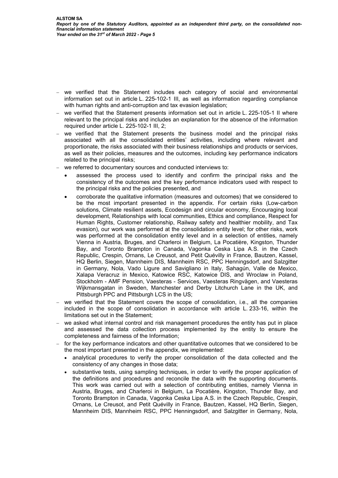- we verified that the Statement includes each category of social and environmental information set out in article L. 225-102-1 III, as well as information regarding compliance with human rights and anti-corruption and tax evasion legislation;
- we verified that the Statement presents information set out in article L. 225-105-1 II where relevant to the principal risks and includes an explanation for the absence of the information required under article L. 225-102-1 III, 2;
- we verified that the Statement presents the business model and the principal risks associated with all the consolidated entities' activities, including where relevant and proportionate, the risks associated with their business relationships and products or services, as well as their policies, measures and the outcomes, including key performance indicators related to the principal risks;
- we referred to documentary sources and conducted interviews to:
	- assessed the process used to identify and confirm the principal risks and the consistency of the outcomes and the key performance indicators used with respect to the principal risks and the policies presented, and
	- corroborate the qualitative information (measures and outcomes) that we considered to be the most important presented in the appendix. For certain risks (Low-carbon solutions, Climate resilient assets, Ecodesign and circular economy, Encouraging local development, Relationships with local communities, Ethics and compliance, Respect for Human Rights, Customer relationship, Railway safety and healthier mobility, and Tax evasion), our work was performed at the consolidation entity level; for other risks, work was performed at the consolidation entity level and in a selection of entities, namely Vienna in Austria, Bruges, and Charleroi in Belgium, La Pocatière, Kingston, Thunder Bay, and Toronto Brampton in Canada, Vagonka Ceska Lipa A.S. in the Czech Republic, Crespin, Ornans, Le Creusot, and Petit Quévilly in France, Bautzen, Kassel, HQ Berlin, Siegen, Mannheim DIS, Mannheim RSC, PPC Henningsdorf, and Salzgitter in Germany, Nola, Vado Ligure and Savigliano in Italy, Sahagún, Valle de Mexico, Xalapa Veracruz in Mexico, Katowice RSC, Katowice DIS, and Wroclaw in Poland, Stockholm - AMF Pension, Vaesteras - Services, Vaesteras Ringvägen, and Vaesteras Wijkmansgatan in Sweden, Manchester and Derby Litchurch Lane in the UK, and Pittsburgh PPC and Pittsburgh LCS in the US;
- we verified that the Statement covers the scope of consolidation, i.e., all the companies included in the scope of consolidation in accordance with article L. 233-16, within the limitations set out in the Statement;
- we asked what internal control and risk management procedures the entity has put in place and assessed the data collection process implemented by the entity to ensure the completeness and fairness of the Information;
- for the key performance indicators and other quantitative outcomes that we considered to be the most important presented in the appendix, we implemented:
	- analytical procedures to verify the proper consolidation of the data collected and the consistency of any changes in those data;
	- substantive tests, using sampling techniques, in order to verify the proper application of the definitions and procedures and reconcile the data with the supporting documents. This work was carried out with a selection of contributing entities, namely Vienna in Austria, Bruges, and Charleroi in Belgium, La Pocatière, Kingston, Thunder Bay, and Toronto Brampton in Canada, Vagonka Ceska Lipa A.S. in the Czech Republic, Crespin, Ornans, Le Creusot, and Petit Quévilly in France, Bautzen, Kassel, HQ Berlin, Siegen, Mannheim DIS, Mannheim RSC, PPC Henningsdorf, and Salzgitter in Germany, Nola,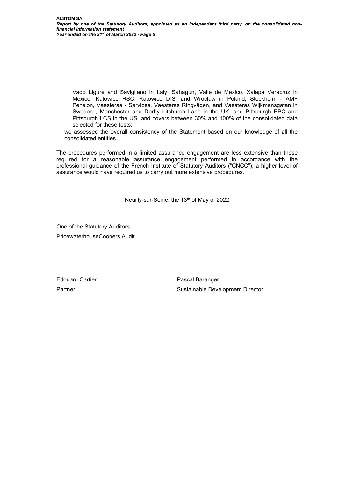Vado Ligure and Savigliano in Italy, Sahagún, Valle de Mexico, Xalapa Veracruz in Mexico, Katowice RSC, Katowice DIS, and Wroclaw in Poland, Stockholm - AMF Pension, Vaesteras - Services, Vaesteras Ringvägen, and Vaesteras Wijkmansgatan in Sweden , Manchester and Derby Litchurch Lane in the UK, and Pittsburgh PPC and Pittsburgh LCS in the US, and covers between 30% and 100% of the consolidated data selected for these tests;

- we assessed the overall consistency of the Statement based on our knowledge of all the consolidated entities.

The procedures performed in a limited assurance engagement are less extensive than those required for a reasonable assurance engagement performed in accordance with the professional guidance of the French Institute of Statutory Auditors ("CNCC"); a higher level of assurance would have required us to carry out more extensive procedures.

Neuilly-sur-Seine, the 13<sup>th</sup> of May of 2022

One of the Statutory Auditors PricewaterhouseCoopers Audit

Edouard Cartier Partner

Pascal Baranger Sustainable Development Director